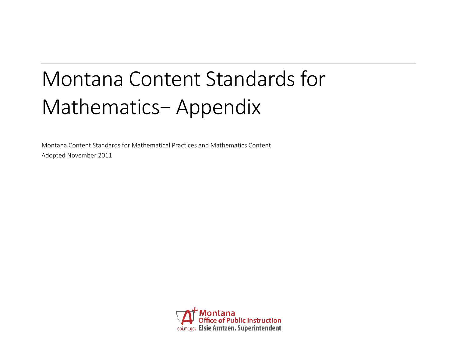# Montana Content Standards for Mathematics− Appendix

Montana Content Standards for Mathematical Practices and Mathematics Content Adopted November 2011

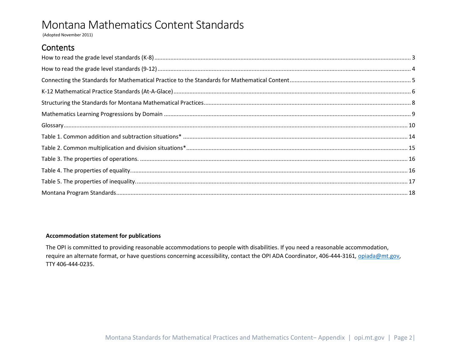(Adopted November 2011)

#### Contents

#### **Accommodation statement for publications**

The OPI is committed to providing reasonable accommodations to people with disabilities. If you need a reasonable accommodation, require an alternate format, or have questions concerning accessibility, contact the OPI ADA Coordinator, 406-444-3161*,* [opiada@mt.gov,](mailto:opiada@mt.gov) TTY 406-444-0235.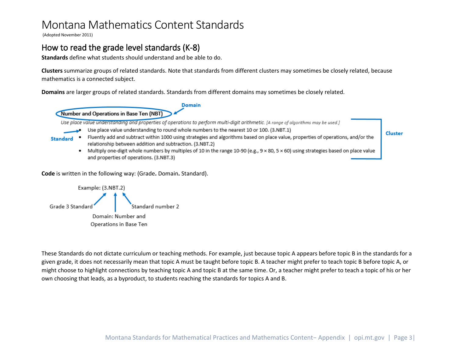(Adopted November 2011)

## <span id="page-2-0"></span>How to read the grade level standards (K-8)

**Standards** define what students should understand and be able to do.

**Clusters** summarize groups of related standards. Note that standards from different clusters may sometimes be closely related, because mathematics is a connected subject.

**Domains** are larger groups of related standards. Standards from different domains may sometimes be closely related.

**Domain** 

Number and Operations in Base Ten (NBT)

Use place value understanding and properties of operations to perform multi-digit arithmetic. [A range of algorithms may be used.]

Use place value understanding to round whole numbers to the nearest 10 or 100. (3.NBT.1)

**Cluster** 

- Standard •
- Fluently add and subtract within 1000 using strategies and algorithms based on place value, properties of operations, and/or the relationship between addition and subtraction. (3.NBT.2)
	- Multiply one-digit whole numbers by multiples of 10 in the range 10-90 (e.g., 9 × 80, 5 × 60) using strategies based on place value and properties of operations. (3.NBT.3)

**Code** is written in the following way: (Grade**.** Domain**.** Standard).

Example: (3.NBT.2) Grade 3 Standard Standard number 2 Domain: Number and Operations in Base Ten

These Standards do not dictate curriculum or teaching methods. For example, just because topic A appears before topic B in the standards for a given grade, it does not necessarily mean that topic A must be taught before topic B. A teacher might prefer to teach topic B before topic A, or might choose to highlight connections by teaching topic A and topic B at the same time. Or, a teacher might prefer to teach a topic of his or her own choosing that leads, as a byproduct, to students reaching the standards for topics A and B.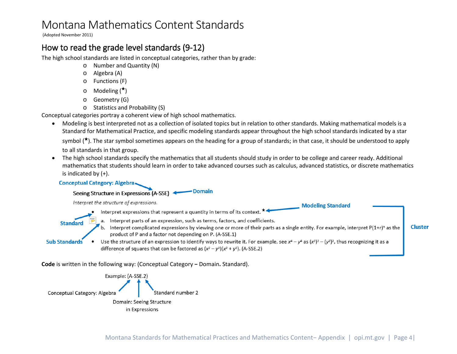(Adopted November 2011)

#### <span id="page-3-0"></span>How to read the grade level standards (9-12)

The high school standards are listed in conceptual categories, rather than by grade:

- o Number and Quantity (N)
- o Algebra (A)
- o Functions (F)
- $\circ$  Modeling ( $\star$ )
- o Geometry (G)
- o Statistics and Probability (S)

Conceptual categories portray a coherent view of high school mathematics.

• Modeling is best interpreted not as a collection of isolated topics but in relation to other standards. Making mathematical models is a Standard for Mathematical Practice, and specific modeling standards appear throughout the high school standards indicated by a star

symbol  $(\star)$ . The star symbol sometimes appears on the heading for a group of standards; in that case, it should be understood to apply to all standards in that group.

• The high school standards specify the mathematics that all students should study in order to be college and career ready. Additional mathematics that students should learn in order to take advanced courses such as calculus, advanced statistics, or discrete mathematics is indicated by (+).

#### **Conceptual Category: Algebra.**



Example: (A-SSE.2) Conceptual Category: Algebra Standard number 2 Domain: Seeing Structure in Expressions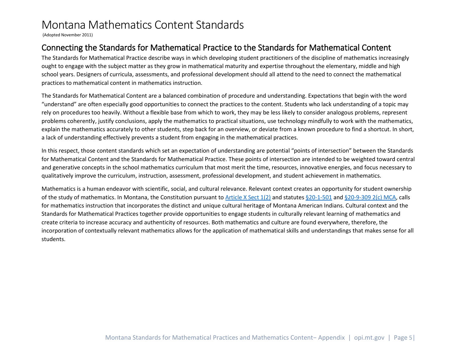(Adopted November 2011)

#### <span id="page-4-0"></span>Connecting the Standards for Mathematical Practice to the Standards for Mathematical Content

The Standards for Mathematical Practice describe ways in which developing student practitioners of the discipline of mathematics increasingly ought to engage with the subject matter as they grow in mathematical maturity and expertise throughout the elementary, middle and high school years. Designers of curricula, assessments, and professional development should all attend to the need to connect the mathematical practices to mathematical content in mathematics instruction.

The Standards for Mathematical Content are a balanced combination of procedure and understanding. Expectations that begin with the word "understand" are often especially good opportunities to connect the practices to the content. Students who lack understanding of a topic may rely on procedures too heavily. Without a flexible base from which to work, they may be less likely to consider analogous problems, represent problems coherently, justify conclusions, apply the mathematics to practical situations, use technology mindfully to work with the mathematics, explain the mathematics accurately to other students, step back for an overview, or deviate from a known procedure to find a shortcut. In short, a lack of understanding effectively prevents a student from engaging in the mathematical practices.

In this respect, those content standards which set an expectation of understanding are potential "points of intersection" between the Standards for Mathematical Content and the Standards for Mathematical Practice. These points of intersection are intended to be weighted toward central and generative concepts in the school mathematics curriculum that most merit the time, resources, innovative energies, and focus necessary to qualitatively improve the curriculum, instruction, assessment, professional development, and student achievement in mathematics.

Mathematics is a human endeavor with scientific, social, and cultural relevance. Relevant context creates an opportunity for student ownership of the study of mathematics. In Montana, the Constitution pursuant to [Article X Sect 1\(2\)](http://leg.mt.gov/bills/mca/title_0000/article_0100/part_0010/section_0010/0000-0100-0010-0010.html) and statute[s §20-1-501](http://leg.mt.gov/bills/mca/title_0200/chapter_0010/part_0050/section_0010/0200-0010-0050-0010.html) and [§20-9-309 2\(c\) MCA,](http://leg.mt.gov/bills/mca/title_0200/chapter_0090/part_0030/section_0090/0200-0090-0030-0090.html) calls for mathematics instruction that incorporates the distinct and unique cultural heritage of Montana American Indians. Cultural context and the Standards for Mathematical Practices together provide opportunities to engage students in culturally relevant learning of mathematics and create criteria to increase accuracy and authenticity of resources. Both mathematics and culture are found everywhere, therefore, the incorporation of contextually relevant mathematics allows for the application of mathematical skills and understandings that makes sense for all students.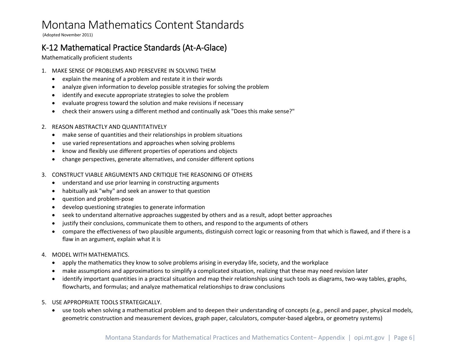(Adopted November 2011)

### <span id="page-5-0"></span>K-12 Mathematical Practice Standards (At-A-Glace)

Mathematically proficient students

- 1. MAKE SENSE OF PROBLEMS AND PERSEVERE IN SOLVING THEM
	- explain the meaning of a problem and restate it in their words
	- analyze given information to develop possible strategies for solving the problem
	- identify and execute appropriate strategies to solve the problem
	- evaluate progress toward the solution and make revisions if necessary
	- check their answers using a different method and continually ask "Does this make sense?"
- 2. REASON ABSTRACTLY AND QUANTITATIVELY
	- make sense of quantities and their relationships in problem situations
	- use varied representations and approaches when solving problems
	- know and flexibly use different properties of operations and objects
	- change perspectives, generate alternatives, and consider different options
- 3. CONSTRUCT VIABLE ARGUMENTS AND CRITIQUE THE REASONING OF OTHERS
	- understand and use prior learning in constructing arguments
	- habitually ask "why" and seek an answer to that question
	- question and problem-pose
	- develop questioning strategies to generate information
	- seek to understand alternative approaches suggested by others and as a result, adopt better approaches
	- justify their conclusions, communicate them to others, and respond to the arguments of others
	- compare the effectiveness of two plausible arguments, distinguish correct logic or reasoning from that which is flawed, and if there is a flaw in an argument, explain what it is
- 4. MODEL WITH MATHEMATICS.
	- apply the mathematics they know to solve problems arising in everyday life, society, and the workplace
	- make assumptions and approximations to simplify a complicated situation, realizing that these may need revision later
	- identify important quantities in a practical situation and map their relationships using such tools as diagrams, two-way tables, graphs, flowcharts, and formulas; and analyze mathematical relationships to draw conclusions
- 5. USE APPROPRIATE TOOLS STRATEGICALLY.
	- use tools when solving a mathematical problem and to deepen their understanding of concepts (e.g., pencil and paper, physical models, geometric construction and measurement devices, graph paper, calculators, computer-based algebra, or geometry systems)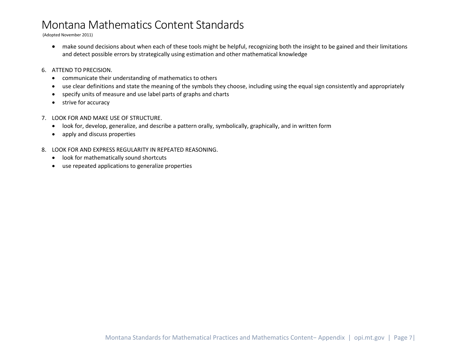(Adopted November 2011)

- make sound decisions about when each of these tools might be helpful, recognizing both the insight to be gained and their limitations and detect possible errors by strategically using estimation and other mathematical knowledge
- 6. ATTEND TO PRECISION.
	- communicate their understanding of mathematics to others
	- use clear definitions and state the meaning of the symbols they choose, including using the equal sign consistently and appropriately
	- specify units of measure and use label parts of graphs and charts
	- strive for accuracy
- 7. LOOK FOR AND MAKE USE OF STRUCTURE.
	- look for, develop, generalize, and describe a pattern orally, symbolically, graphically, and in written form
	- apply and discuss properties
- 8. LOOK FOR AND EXPRESS REGULARITY IN REPEATED REASONING.
	- look for mathematically sound shortcuts
	- use repeated applications to generalize properties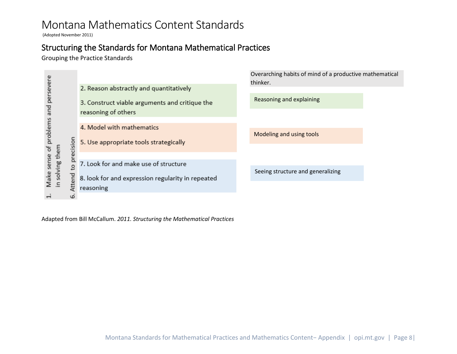(Adopted November 2011)

## <span id="page-7-0"></span>Structuring the Standards for Montana Mathematical Practices

Grouping the Practice Standards



Adapted from Bill McCallum. *2011. Structuring the Mathematical Practices*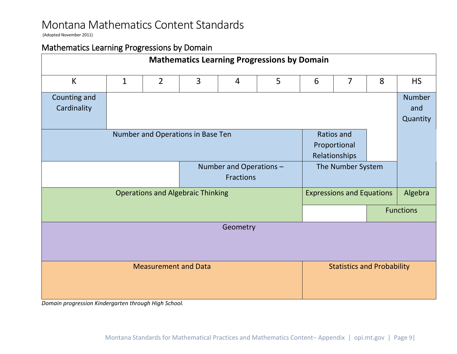(Adopted November 2011)

#### <span id="page-8-0"></span>Mathematics Learning Progressions by Domain

| <b>Mathematics Learning Progressions by Domain</b>                                                                                                                                                                                                                                                                                                                                                                                                     |              |                                             |                                  |                                   |         |                  |                |   |                                  |
|--------------------------------------------------------------------------------------------------------------------------------------------------------------------------------------------------------------------------------------------------------------------------------------------------------------------------------------------------------------------------------------------------------------------------------------------------------|--------------|---------------------------------------------|----------------------------------|-----------------------------------|---------|------------------|----------------|---|----------------------------------|
| K                                                                                                                                                                                                                                                                                                                                                                                                                                                      | $\mathbf{1}$ | $\overline{2}$                              | $\overline{3}$                   | $\overline{4}$                    | 5       | 6                | $\overline{7}$ | 8 | <b>HS</b>                        |
| Counting and<br>Cardinality                                                                                                                                                                                                                                                                                                                                                                                                                            |              |                                             |                                  |                                   |         |                  |                |   | <b>Number</b><br>and<br>Quantity |
| Number and Operations in Base Ten                                                                                                                                                                                                                                                                                                                                                                                                                      |              |                                             |                                  | Ratios and                        |         |                  |                |   |                                  |
|                                                                                                                                                                                                                                                                                                                                                                                                                                                        |              |                                             |                                  | Proportional<br>Relationships     |         |                  |                |   |                                  |
|                                                                                                                                                                                                                                                                                                                                                                                                                                                        |              | Number and Operations -<br><b>Fractions</b> |                                  | The Number System                 |         |                  |                |   |                                  |
| <b>Operations and Algebraic Thinking</b>                                                                                                                                                                                                                                                                                                                                                                                                               |              |                                             | <b>Expressions and Equations</b> |                                   | Algebra |                  |                |   |                                  |
|                                                                                                                                                                                                                                                                                                                                                                                                                                                        |              |                                             |                                  |                                   |         | <b>Functions</b> |                |   |                                  |
| Geometry                                                                                                                                                                                                                                                                                                                                                                                                                                               |              |                                             |                                  |                                   |         |                  |                |   |                                  |
| <b>Measurement and Data</b><br>$\overline{1}$ $\overline{1}$ $\overline{1}$ $\overline{1}$ $\overline{1}$ $\overline{1}$ $\overline{1}$ $\overline{1}$ $\overline{1}$ $\overline{1}$ $\overline{1}$ $\overline{1}$ $\overline{1}$ $\overline{1}$ $\overline{1}$ $\overline{1}$ $\overline{1}$ $\overline{1}$ $\overline{1}$ $\overline{1}$ $\overline{1}$ $\overline{1}$ $\overline{1}$ $\overline{1}$ $\overline{$<br>$\mathbf{r}$<br>$\cdot$ $\cdot$ |              |                                             |                                  | <b>Statistics and Probability</b> |         |                  |                |   |                                  |

*Domain progression Kindergarten through High School.*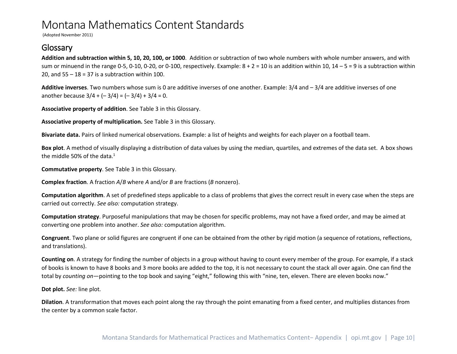(Adopted November 2011)

### <span id="page-9-0"></span>**Glossary**

**Addition and subtraction within 5, 10, 20, 100, or 1000**. Addition or subtraction of two whole numbers with whole number answers, and with sum or minuend in the range 0-5, 0-10, 0-20, or 0-100, respectively. Example:  $8 + 2 = 10$  is an addition within 10,  $14 - 5 = 9$  is a subtraction within 20, and  $55 - 18 = 37$  is a subtraction within 100.

**Additive inverses**. Two numbers whose sum is 0 are additive inverses of one another. Example: 3/4 and – 3/4 are additive inverses of one another because  $3/4 + (-3/4) = (-3/4) + 3/4 = 0$ .

**Associative property of addition**. See Table 3 in this Glossary.

**Associative property of multiplication.** See Table 3 in this Glossary.

**Bivariate data.** Pairs of linked numerical observations. Example: a list of heights and weights for each player on a football team.

**Box plot**. A method of visually displaying a distribution of data values by using the median, quartiles, and extremes of the data set. A box shows the middle 50% of the data. $1$ 

**Commutative property**. See Table 3 in this Glossary.

**Complex fraction**. A fraction *A*/*B* where *A* and/or *B* are fractions (*B* nonzero).

**Computation algorithm**. A set of predefined steps applicable to a class of problems that gives the correct result in every case when the steps are carried out correctly. *See also:* computation strategy.

**Computation strategy**. Purposeful manipulations that may be chosen for specific problems, may not have a fixed order, and may be aimed at converting one problem into another. *See also:* computation algorithm.

**Congruent**. Two plane or solid figures are congruent if one can be obtained from the other by rigid motion (a sequence of rotations, reflections, and translations).

**Counting on**. A strategy for finding the number of objects in a group without having to count every member of the group. For example, if a stack of books is known to have 8 books and 3 more books are added to the top, it is not necessary to count the stack all over again. One can find the total by *counting on*—pointing to the top book and saying "eight," following this with "nine, ten, eleven. There are eleven books now."

**Dot plot.** *See:* line plot*.* 

**Dilation**. A transformation that moves each point along the ray through the point emanating from a fixed center, and multiplies distances from the center by a common scale factor.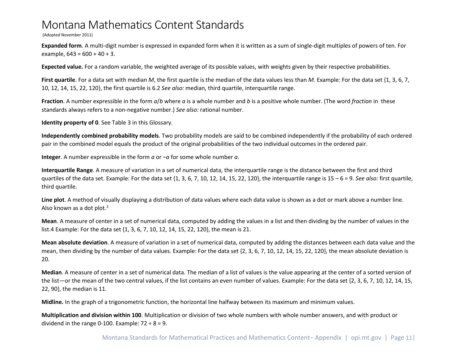(Adopted November 2011)

**Expanded form**. A multi-digit number is expressed in expanded form when it is written as a sum of single-digit multiples of powers of ten. For example,  $643 = 600 + 40 + 3$ .

**Expected value.** For a random variable, the weighted average of its possible values, with weights given by their respective probabilities.

**First quartile**. For a data set with median *M*, the first quartile is the median of the data values less than *M*. Example: For the data set {1, 3, 6, 7, 10, 12, 14, 15, 22, 120}, the first quartile is 6.2 *See also:* median, third quartile, interquartile range.

**Fraction**. A number expressible in the form *a*/*b* where *a* is a whole number and *b* is a positive whole number. (The word *fraction* in these standards always refers to a non-negative number.) *See also:* rational number.

**Identity property of 0**. See Table 3 in this Glossary.

**Independently combined probability models**. Two probability models are said to be combined independently if the probability of each ordered pair in the combined model equals the product of the original probabilities of the two individual outcomes in the ordered pair.

**Integer**. A number expressible in the form *a* or –*a* for some whole number *a*.

**Interquartile Range**. A measure of variation in a set of numerical data, the interquartile range is the distance between the first and third quartiles of the data set. Example: For the data set  $\{1, 3, 6, 7, 10, 12, 14, 15, 22, 120\}$ , the interquartile range is  $15 - 6 = 9$ . See also: first quartile, third quartile.

**Line plot**. A method of visually displaying a distribution of data values where each data value is shown as a dot or mark above a number line. Also known as a dot plot.<sup>3</sup>

**Mean**. A measure of center in a set of numerical data, computed by adding the values in a list and then dividing by the number of values in the list.4 Example: For the data set {1, 3, 6, 7, 10, 12, 14, 15, 22, 120}, the mean is 21.

**Mean absolute deviation**. A measure of variation in a set of numerical data, computed by adding the distances between each data value and the mean, then dividing by the number of data values. Example: For the data set {2, 3, 6, 7, 10, 12, 14, 15, 22, 120}, the mean absolute deviation is 20.

**Median**. A measure of center in a set of numerical data. The median of a list of values is the value appearing at the center of a sorted version of the list—or the mean of the two central values, if the list contains an even number of values. Example: For the data set {2, 3, 6, 7, 10, 12, 14, 15, 22, 90}, the median is 11.

**Midline.** In the graph of a trigonometric function, the horizontal line halfway between its maximum and minimum values.

**Multiplication and division within 100**. Multiplication or division of two whole numbers with whole number answers, and with product or dividend in the range 0-100. Example:  $72 \div 8 = 9$ .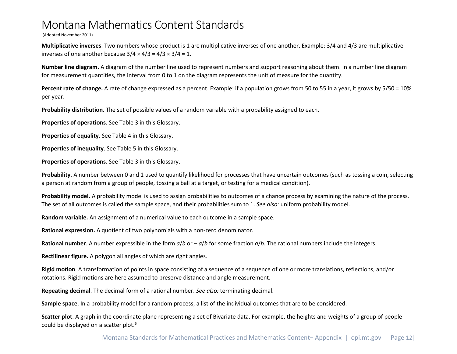(Adopted November 2011)

**Multiplicative inverses**. Two numbers whose product is 1 are multiplicative inverses of one another. Example: 3/4 and 4/3 are multiplicative inverses of one another because  $3/4 \times 4/3 = 4/3 \times 3/4 = 1$ .

**Number line diagram.** A diagram of the number line used to represent numbers and support reasoning about them. In a number line diagram for measurement quantities, the interval from 0 to 1 on the diagram represents the unit of measure for the quantity.

**Percent rate of change.** A rate of change expressed as a percent. Example: if a population grows from 50 to 55 in a year, it grows by 5/50 = 10% per year.

**Probability distribution.** The set of possible values of a random variable with a probability assigned to each.

**Properties of operations**. See Table 3 in this Glossary.

**Properties of equality**. See Table 4 in this Glossary.

**Properties of inequality**. See Table 5 in this Glossary.

**Properties of operations**. See Table 3 in this Glossary.

**Probability**. A number between 0 and 1 used to quantify likelihood for processes that have uncertain outcomes (such as tossing a coin, selecting a person at random from a group of people, tossing a ball at a target, or testing for a medical condition).

**Probability model.** A probability model is used to assign probabilities to outcomes of a chance process by examining the nature of the process. The set of all outcomes is called the sample space, and their probabilities sum to 1. *See also:* uniform probability model.

**Random variable.** An assignment of a numerical value to each outcome in a sample space.

**Rational expression.** A quotient of two polynomials with a non-zero denominator.

**Rational number**. A number expressible in the form *a*/*b* or – *a*/*b* for some fraction *a*/*b*. The rational numbers include the integers.

**Rectilinear figure.** A polygon all angles of which are right angles.

**Rigid motion**. A transformation of points in space consisting of a sequence of a sequence of one or more translations, reflections, and/or rotations. Rigid motions are here assumed to preserve distance and angle measurement.

**Repeating decimal**. The decimal form of a rational number. *See also:* terminating decimal.

**Sample space**. In a probability model for a random process, a list of the individual outcomes that are to be considered.

**Scatter plot**. A graph in the coordinate plane representing a set of Bivariate data. For example, the heights and weights of a group of people could be displayed on a scatter plot.<sup>5</sup>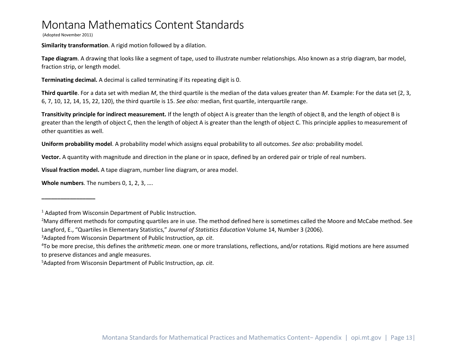(Adopted November 2011)

**Similarity transformation**. A rigid motion followed by a dilation.

**Tape diagram**. A drawing that looks like a segment of tape, used to illustrate number relationships. Also known as a strip diagram, bar model, fraction strip, or length model.

**Terminating decimal.** A decimal is called terminating if its repeating digit is 0.

**Third quartile**. For a data set with median *M*, the third quartile is the median of the data values greater than *M*. Example: For the data set {2, 3, 6, 7, 10, 12, 14, 15, 22, 120}, the third quartile is 15. *See also:* median, first quartile, interquartile range.

**Transitivity principle for indirect measurement.** If the length of object A is greater than the length of object B, and the length of object B is greater than the length of object C, then the length of object A is greater than the length of object C. This principle applies to measurement of other quantities as well.

**Uniform probability model**. A probability model which assigns equal probability to all outcomes. *See also:* probability model*.* 

**Vector.** A quantity with magnitude and direction in the plane or in space, defined by an ordered pair or triple of real numbers.

**Visual fraction model.** A tape diagram, number line diagram, or area model.

**Whole numbers**. The numbers 0, 1, 2, 3, ….

**\_\_\_\_\_\_\_\_\_\_\_\_\_\_\_\_\_**

5 Adapted from Wisconsin Department of Public Instruction, *op. cit*.

<sup>1</sup> Adapted from Wisconsin Department of Public Instruction.

<sup>&</sup>lt;sup>2</sup>Many different methods for computing quartiles are in use. The method defined here is sometimes called the Moore and McCabe method. See Langford, E., "Quartiles in Elementary Statistics," *Journal of Statistics Education* Volume 14, Number 3 (2006).

<sup>&</sup>lt;sup>3</sup>Adapted from Wisconsin Department of Public Instruction, *op. cit.*<br><sup>4</sup>To be more precise, this defines the *grithmetic mean*, one or more

To be more precise, this defines the *arithmetic mean*. one or more translations, reflections, and/or rotations. Rigid motions are here assumed to preserve distances and angle measures.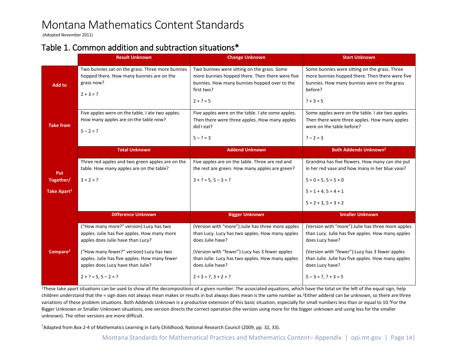(Adopted November 2011)

#### <span id="page-13-0"></span>Table 1. Common addition and subtraction situations\*

|                                             | <b>Result Unknown</b>                                                                                                           | <b>Change Unknown</b>                                                                                                                                                       | <b>Start Unknown</b>                                                                                                                                                              |
|---------------------------------------------|---------------------------------------------------------------------------------------------------------------------------------|-----------------------------------------------------------------------------------------------------------------------------------------------------------------------------|-----------------------------------------------------------------------------------------------------------------------------------------------------------------------------------|
| <b>Add to</b>                               | Two bunnies sat on the grass. Three more bunnies<br>hopped there. How many bunnies are on the<br>grass now?<br>$2 + 3 = ?$      | Two bunnies were sitting on the grass. Some<br>more bunnies hopped there. Then there were five<br>bunnies. How many bunnies hopped over to the<br>first two?<br>$2 + ? = 5$ | Some bunnies were sitting on the grass. Three<br>more bunnies hopped there. Then there were five<br>bunnies. How many bunnies were on the grass<br>before?<br>$? + 3 = 5$         |
| <b>Take from</b>                            | Five apples were on the table. I ate two apples.<br>How many apples are on the table now?<br>$5 - 2 = ?$                        | Five apples were on the table. I ate some apples.<br>Then there were three apples. How many apples<br>did I eat?<br>$5 - ? = 3$                                             | Some apples were on the table. I ate two apples.<br>Then there were three apples. How many apples<br>were on the table before?<br>$? - 2 = 3$                                     |
|                                             | <b>Total Unknown</b>                                                                                                            | <b>Addend Unknown</b>                                                                                                                                                       | <b>Both Addends Unknown<sup>2</sup></b>                                                                                                                                           |
| Put<br>Together/<br>Take Apart <sup>1</sup> | Three red apples and two green apples are on the<br>table. How many apples are on the table?<br>$3 + 2 = ?$                     | Five apples are on the table. Three are red and<br>the rest are green. How many apples are green?<br>$3 + ? = 5, 5 - 3 = ?$                                                 | Grandma has five flowers. How many can she put<br>in her red vase and how many in her blue vase?<br>$5 = 0 + 5, 5 = 5 + 0$<br>$5 = 1 + 4, 5 = 4 + 1$<br>$5 = 2 + 3$ , $5 = 3 + 2$ |
|                                             | <b>Difference Unknown</b>                                                                                                       | <b>Bigger Unknown</b>                                                                                                                                                       | <b>Smaller Unknown</b>                                                                                                                                                            |
| Compare <sup>2</sup>                        | ("How many more?" version):Lucy has two<br>apples. Julie has five apples. How many more<br>apples does Julie have than Lucy?    | (Version with "more"): Julie has three more apples<br>than Lucy. Lucy has two apples. How many apples<br>does Julie have?                                                   | (Version with "more"): Julie has three more apples<br>than Lucy. Julie has five apples. How many apples<br>does Lucy have?                                                        |
|                                             | ("How many fewer?" version): Lucy has two<br>apples. Julie has five apples. How many fewer<br>apples does Lucy have than Julie? | (Version with "fewer"): Lucy has 3 fewer apples<br>than Julie. Lucy has two apples. How many apples<br>does Julie have?                                                     | (Version with "fewer"): Lucy has 3 fewer apples<br>than Julie. Julie has five apples. How many apples<br>does Lucy have?                                                          |
|                                             | $2 + ? = 5, 5 - 2 = ?$                                                                                                          | $2 + 3 = ?$ , $3 + 2 = ?$                                                                                                                                                   | $5 - 3 = ?$ , $? + 3 = 5$                                                                                                                                                         |

<sup>1</sup>These take apart situations can be used to show all the decompositions of a given number. The associated equations, which have the total on the left of the equal sign, help children understand that the = sign does not always mean makes or results in but always does mean is the same number as.<sup>2</sup>Either addend can be unknown, so there are three variations of these problem situations. Both Addends Unknown is a productive extension of this basic situation, especially for small numbers less than or equal to 10.<sup>3</sup>For the Bigger Unknown or Smaller Unknown situations, one version directs the correct operation (the version using more for the bigger unknown and using less for the smaller unknown). The other versions are more difficult.

\*Adapted from Box 2-4 of Mathematics Learning in Early Childhood, National Research Council (2009, pp. 32, 33).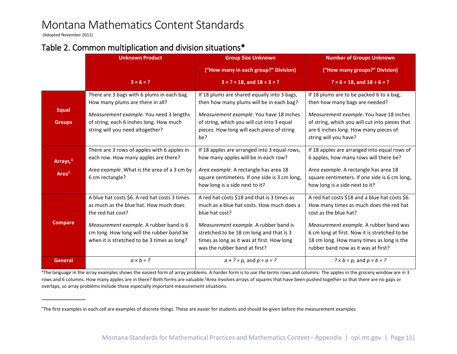(Adopted November 2011)

**\_\_\_\_\_\_\_\_\_\_\_\_\_\_\_\_\_**

#### <span id="page-14-0"></span>Table 2. Common multiplication and division situations\*

|                                           | <b>Unknown Product</b>                                                                                                                                                                                                                              | <b>Group Size Unknown</b>                                                                                                                                                                                                                                                      | <b>Number of Groups Unknown</b>                                                                                                                                                                                                                                                                   |  |  |
|-------------------------------------------|-----------------------------------------------------------------------------------------------------------------------------------------------------------------------------------------------------------------------------------------------------|--------------------------------------------------------------------------------------------------------------------------------------------------------------------------------------------------------------------------------------------------------------------------------|---------------------------------------------------------------------------------------------------------------------------------------------------------------------------------------------------------------------------------------------------------------------------------------------------|--|--|
|                                           |                                                                                                                                                                                                                                                     | ("How many in each group?" Division)                                                                                                                                                                                                                                           | ("How many groups?" Division)                                                                                                                                                                                                                                                                     |  |  |
|                                           | $3 \times 6 = ?$                                                                                                                                                                                                                                    | $3 \times ? = 18$ , and $18 \div 3 = ?$                                                                                                                                                                                                                                        | $? \times 6 = 18$ , and $18 \div 6 = ?$                                                                                                                                                                                                                                                           |  |  |
| Equal<br><b>Groups</b>                    | There are 3 bags with 6 plums in each bag.<br>How many plums are there in all?<br>Measurement example. You need 3 lengths<br>of string, each 6 inches long. How much<br>string will you need altogether?                                            | If 18 plums are shared equally into 3 bags,<br>then how many plums will be in each bag?<br>Measurement example. You have 18 inches<br>of string, which you will cut into 3 equal<br>pieces. How long will each piece of string<br>be?                                          | If 18 plums are to be packed 6 to a bag,<br>then how many bags are needed?<br>Measurement example. You have 18 inches<br>of string, which you will cut into pieces that<br>are 6 inches long. How many pieces of<br>string will you have?                                                         |  |  |
| Arrays, <sup>4</sup><br>Area <sup>5</sup> | There are 3 rows of apples with 6 apples in<br>each row. How many apples are there?<br>Area example. What is the area of a 3 cm by<br>6 cm rectangle?                                                                                               | If 18 apples are arranged into 3 equal rows,<br>how many apples will be in each row?<br>Area example. A rectangle has area 18<br>square centimeters. If one side is 3 cm long,<br>how long is a side next to it?                                                               | If 18 apples are arranged into equal rows of<br>6 apples, how many rows will there be?<br>Area example. A rectangle has area 18<br>square centimeters. If one side is 6 cm long,<br>how long is a side next to it?                                                                                |  |  |
| <b>Compare</b>                            | A blue hat costs \$6. A red hat costs 3 times<br>as much as the blue hat. How much does<br>the red hat cost?<br>Measurement example. A rubber band is 6<br>cm long. How long will the rubber band be<br>when it is stretched to be 3 times as long? | A red hat costs \$18 and that is 3 times as<br>much as a blue hat costs. How much does a<br>blue hat cost?<br>Measurement example. A rubber band is<br>stretched to be 18 cm long and that is 3<br>times as long as it was at first. How long<br>was the rubber band at first? | A red hat costs \$18 and a blue hat costs \$6.<br>How many times as much does the red hat<br>cost as the blue hat?<br>Measurement example. A rubber band was<br>6 cm long at first. Now it is stretched to be<br>18 cm long. How many times as long is the<br>rubber band now as it was at first? |  |  |
| <b>General</b>                            | $a \times b = ?$                                                                                                                                                                                                                                    | $a \times ? = p$ , and $p \div a = ?$                                                                                                                                                                                                                                          | $? \times b = p$ , and $p \div b = ?$                                                                                                                                                                                                                                                             |  |  |

4The language in the array examples shows the easiest form of array problems. A harder form is to use the terms rows and columns: The apples in the grocery window are in 3 rows and 6 columns. How many apples are in there? Both forms are valuable.<sup>5</sup>Area involves arrays of squares that have been pushed together so that there are no gaps or overlaps, so array problems include these especially important measurement situations.

<sup>\*</sup>The first examples in each cell are examples of discrete things. These are easier for students and should be given before the measurement examples.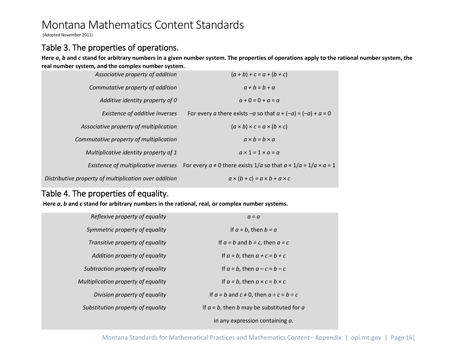(Adopted November 2011)

#### <span id="page-15-0"></span>Table 3. The properties of operations.

**Here** *a***,** *b* **and** *c* **stand for arbitrary numbers in a given number system. The properties of operations apply to the rational number system, the real number system, and the complex number system.**

| Associative property of addition                      | $(a + b) + c = a + (b + c)$                                                                                                   |
|-------------------------------------------------------|-------------------------------------------------------------------------------------------------------------------------------|
| Commutative property of addition                      | $a+b=b+a$                                                                                                                     |
| Additive identity property of 0                       | $a + 0 = 0 + a = a$                                                                                                           |
| <b>Existence of additive inverses</b>                 | For every a there exists $-a$ so that $a + (-a) = (-a) + a = 0$                                                               |
| Associative property of multiplication                | $(a \times b) \times c = a \times (b \times c)$                                                                               |
| Commutative property of multiplication                | $a \times b = b \times a$                                                                                                     |
| Multiplicative identity property of 1                 | $a \times 1 = 1 \times a = a$                                                                                                 |
|                                                       | <i>Existence of multiplicative inverses</i> For every $a \neq 0$ there exists $1/a$ so that $a \times 1/a = 1/a \times a = 1$ |
| Distributive property of multiplication over addition | $a \times (b + c) = a \times b + a \times c$                                                                                  |

#### <span id="page-15-1"></span>Table 4. The properties of equality.

**Here** *a***,** *b* **and** *c* **stand for arbitrary numbers in the rational, real, or complex number systems.**

| Reflexive property of equality      | $a = a$                                               |
|-------------------------------------|-------------------------------------------------------|
| Symmetric property of equality      | If $a = b$ , then $b = a$                             |
| Transitive property of equality     | If $a = b$ and $b = c$ , then $a = c$                 |
| Addition property of equality       | If $a = b$ , then $a + c = b + c$                     |
| Subtraction property of equality    | If $a = b$ , then $a - c = b - c$                     |
| Multiplication property of equality | If $a = b$ , then $a \times c = b \times c$           |
| Division property of equality       | If $a = b$ and $c \ne 0$ , then $a \div c = b \div c$ |
| Substitution property of equality   | If $a = b$ , then b may be substituted for a          |
|                                     | in any expression containing $a$ .                    |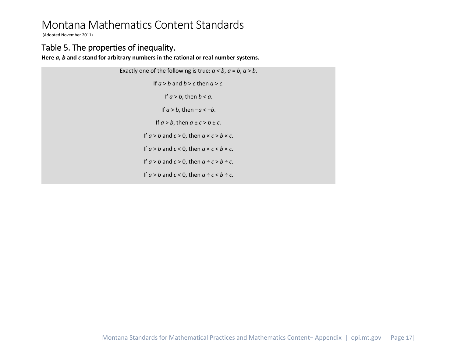(Adopted November 2011)

## <span id="page-16-0"></span>Table 5. The properties of inequality.

**Here** *a***,** *b* **and** *c* **stand for arbitrary numbers in the rational or real number systems.**

| Exactly one of the following is true: $a < b$ , $a = b$ , $a > b$ . |  |
|---------------------------------------------------------------------|--|
| If $a > b$ and $b > c$ then $a > c$ .                               |  |
| If $a > b$ , then $b < a$ .                                         |  |
| If $a > b$ , then $-a < -b$ .                                       |  |
| If $a > b$ , then $a \pm c > b \pm c$ .                             |  |
| If $a > b$ and $c > 0$ , then $a \times c > b \times c$ .           |  |
| If $a > b$ and $c < 0$ , then $a \times c < b \times c$ .           |  |
| If $a > b$ and $c > 0$ , then $a \div c > b \div c$ .               |  |
| If $a > b$ and $c < 0$ , then $a \div c < b \div c$ .               |  |